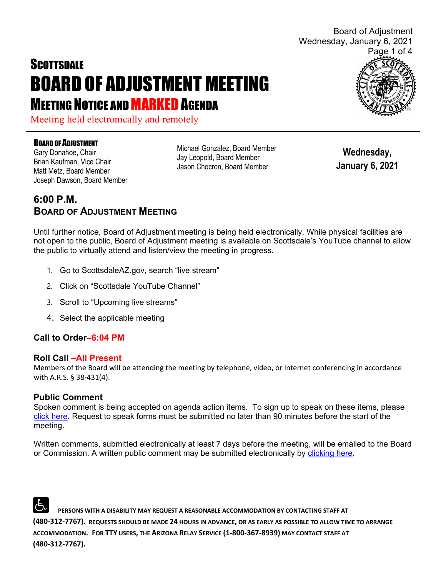# **SCOTTSDALE** BOARD OF ADJUSTMENT MEETING **MEETING NOTICE AND MARKED AGENDA**

Meeting held electronically and remotely

#### BOARD OF ADJUSTMENT

Gary Donahoe, Chair Brian Kaufman, Vice Chair Matt Metz, Board Member Joseph Dawson, Board Member Michael Gonzalez, Board Member Jay Leopold, Board Member Jason Chocron, Board Member

**Wednesday, January 6, 2021**

## **6:00 P.M. BOARD OF ADJUSTMENT MEETING**

Until further notice, Board of Adjustment meeting is being held electronically. While physical facilities are not open to the public, Board of Adjustment meeting is available on Scottsdale's YouTube channel to allow the public to virtually attend and listen/view the meeting in progress.

- 1. Go to ScottsdaleAZ.gov, search "live stream"
- 2. Click on "Scottsdale YouTube Channel"
- 3. Scroll to "Upcoming live streams"
- 4. Select the applicable meeting

#### **Call to Order–6:04 PM**

#### **Roll Call –All Present**

Members of the Board will be attending the meeting by telephone, video, or Internet conferencing in accordance with A.R.S. § 38-431(4).

#### **Public Comment**

Spoken comment is being accepted on agenda action items. To sign up to speak on these items, please [click here.](https://www.scottsdaleaz.gov/boards/board-of-adjustment/spoken-comment) Request to speak forms must be submitted no later than 90 minutes before the start of the meeting.

Written comments, submitted electronically at least 7 days before the meeting, will be emailed to the Board or Commission. A written public comment may be submitted electronically by [clicking here.](https://www.scottsdaleaz.gov/boards/board-of-adjustment/public-comment)

 **PERSONS WITH A DISABILITY MAY REQUEST A REASONABLE ACCOMMODATION BY CONTACTING STAFF AT (480-312-7767). REQUESTS SHOULD BE MADE 24 HOURS IN ADVANCE, OR AS EARLY AS POSSIBLE TO ALLOW TIME TO ARRANGE ACCOMMODATION. FOR TTY USERS, THE ARIZONA RELAY SERVICE (1-800-367-8939) MAY CONTACT STAFF AT (480-312-7767).** 



Board of Adjustment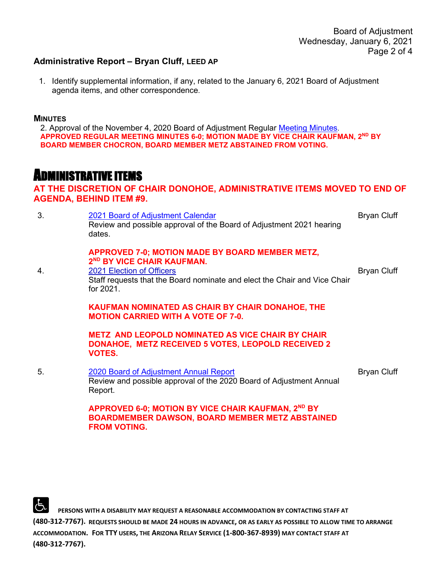#### **Administrative Report – Bryan Cluff, LEED AP**

1. Identify supplemental information, if any, related to the January 6, 2021 Board of Adjustment agenda items, and other correspondence.

#### **MINUTES**

2. Approval of the November 4, 2020 Board of Adjustment Regular [Meeting Minutes.](https://eservices.scottsdaleaz.gov/planning/projectsummary/unrelated_documents/BOA_MINUTES_11042020.pdf) **APPROVED REGULAR MEETING MINUTES 6-0; MOTION MADE BY VICE CHAIR KAUFMAN, 2ND BY BOARD MEMBER CHOCRON, BOARD MEMBER METZ ABSTAINED FROM VOTING.**

## ADMINISTRATIVE ITEMS

#### **AT THE DISCRETION OF CHAIR DONOHOE, ADMINISTRATIVE ITEMS MOVED TO END OF AGENDA, BEHIND ITEM #9.**

3. [2021 Board of Adjustment Calendar](https://eservices.scottsdaleaz.gov/planning/projectsummary/unrelated_documents/2021%20BOA%20Hearing%20Dates.pdf) Review and possible approval of the Board of Adjustment 2021 hearing dates. **APPROVED 7-0; MOTION MADE BY BOARD MEMBER METZ, 2ND BY VICE CHAIR KAUFMAN.** Bryan Cluff 4. 2021 Election of Officers Staff requests that the Board nominate and elect the Chair and Vice Chair for 2021. **KAUFMAN NOMINATED AS CHAIR BY CHAIR DONAHOE, THE MOTION CARRIED WITH A VOTE OF 7-0. METZ AND LEOPOLD NOMINATED AS VICE CHAIR BY CHAIR DONAHOE, METZ RECEIVED 5 VOTES, LEOPOLD RECEIVED 2 VOTES.**  Bryan Cluff 5. 2020 Board of [Adjustment](https://eservices.scottsdaleaz.gov/planning/projectsummary/unrelated_documents/BOA%20Annual%20Report%202020.pdf) [Annual Report](https://eservices.scottsdaleaz.gov/planning/projectsummary/unrelated_documents/BOA%20Annual%20Report%202020.pdf) Review and [possible](https://eservices.scottsdaleaz.gov/planning/projectsummary/unrelated_documents/2021%20BOA%20Hearing%20Dates.pdf) approval of the 2020 Board of Adjustment Annual Report. **APPROVED 6-0; MOTION BY VICE CHAIR KAUFMAN, 2ND BY BOARDMEMBER DAWSON, BOARD MEMBER METZ ABSTAINED FROM VOTING.** Bryan Cluff

 **PERSONS WITH A DISABILITY MAY REQUEST A REASONABLE ACCOMMODATION BY CONTACTING STAFF AT (480-312-7767). REQUESTS SHOULD BE MADE 24 HOURS IN ADVANCE, OR AS EARLY AS POSSIBLE TO ALLOW TIME TO ARRANGE ACCOMMODATION. FOR TTY USERS, THE ARIZONA RELAY SERVICE (1-800-367-8939) MAY CONTACT STAFF AT (480-312-7767).**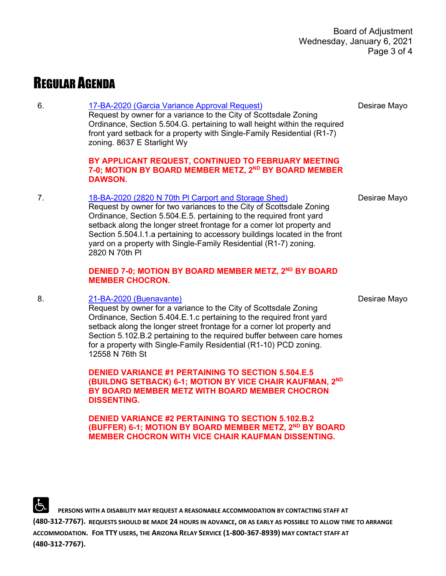## REGULAR AGENDA

#### 6. [17-BA-2020 \(Garcia Variance Approval Request\)](https://eservices.scottsdaleaz.gov/planning/projectsummary/ba_reports/BA_17_BA_2020.pdf)

Request by owner for a variance to the City of Scottsdale Zoning Ordinance, Section 5.504.G. pertaining to wall height within the required front yard setback for a property with Single-Family Residential (R1-7) zoning. 8637 E Starlight Wy

#### **BY APPLICANT REQUEST, CONTINUED TO FEBRUARY MEETING 7-0; MOTION BY BOARD MEMBER METZ, 2ND BY BOARD MEMBER DAWSON.**

#### 7. [18-BA-2020 \(2820 N 70th Pl Carport and Storage Shed\)](https://eservices.scottsdaleaz.gov/planning/projectsummary/ba_reports/BA_18_BA_2020.pdf)

Request by owner for two variances to the City of Scottsdale Zoning Ordinance, Section 5.504.E.5. pertaining to the required front yard setback along the longer street frontage for a corner lot property and Section 5.504.I.1.a pertaining to accessory buildings located in the front yard on a property with Single-Family Residential (R1-7) zoning. 2820 N 70th Pl

#### **DENIED 7-0; MOTION BY BOARD MEMBER METZ, 2<sup>ND</sup> BY BOARD MEMBER CHOCRON.**

#### 8. [21-BA-2020 \(Buenavante\)](https://eservices.scottsdaleaz.gov/planning/projectsummary/ba_reports/BA_21_BA_2020.pdf)

Request by owner for a variance to the City of Scottsdale Zoning Ordinance, Section 5.404.E.1.c pertaining to the required front yard setback along the longer street frontage for a corner lot property and Section 5.102.B.2 pertaining to the required buffer between care homes for a property with Single-Family Residential (R1-10) PCD zoning. 12558 N 76th St

**DENIED VARIANCE #1 PERTAINING TO SECTION 5.504.E.5 (BUILDNG SETBACK) 6-1; MOTION BY VICE CHAIR KAUFMAN, 2ND BY BOARD MEMBER METZ WITH BOARD MEMBER CHOCRON DISSENTING.**

**DENIED VARIANCE #2 PERTAINING TO SECTION 5.102.B.2 (BUFFER) 6-1; MOTION BY BOARD MEMBER METZ, 2ND BY BOARD MEMBER CHOCRON WITH VICE CHAIR KAUFMAN DISSENTING.**

 **PERSONS WITH A DISABILITY MAY REQUEST A REASONABLE ACCOMMODATION BY CONTACTING STAFF AT (480-312-7767). REQUESTS SHOULD BE MADE 24 HOURS IN ADVANCE, OR AS EARLY AS POSSIBLE TO ALLOW TIME TO ARRANGE ACCOMMODATION. FOR TTY USERS, THE ARIZONA RELAY SERVICE (1-800-367-8939) MAY CONTACT STAFF AT (480-312-7767).** 

Desirae Mayo

Desirae Mayo

Desirae Mayo